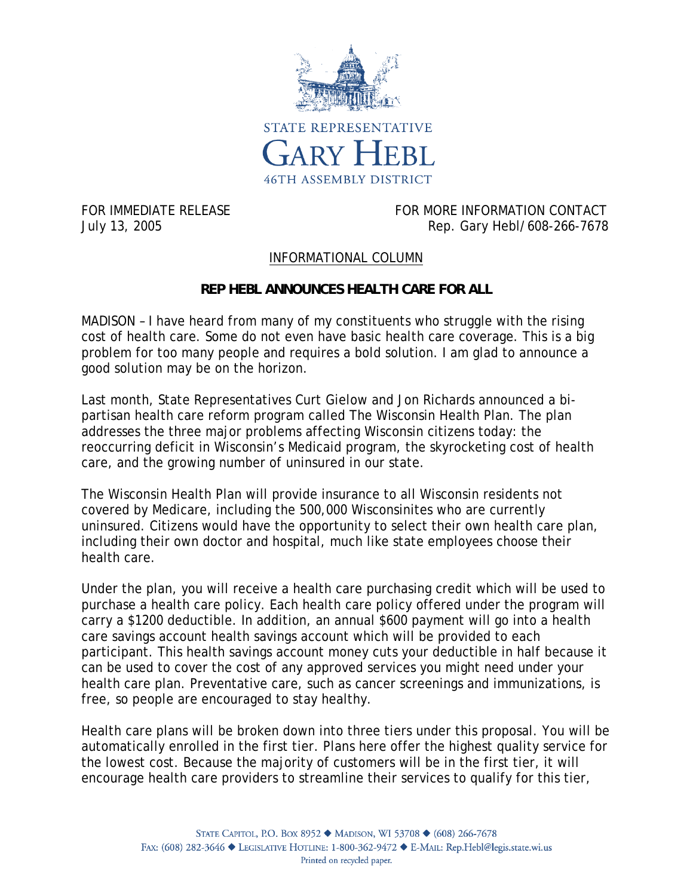

FOR IMMEDIATE RELEASE FOR MORE INFORMATION CONTACT July 13, 2005 Rep. Gary Hebl/608-266-7678

## INFORMATIONAL COLUMN

## **REP HEBL ANNOUNCES HEALTH CARE FOR ALL**

MADISON – I have heard from many of my constituents who struggle with the rising cost of health care. Some do not even have basic health care coverage. This is a big problem for too many people and requires a bold solution. I am glad to announce a good solution may be on the horizon.

Last month, State Representatives Curt Gielow and Jon Richards announced a bipartisan health care reform program called The Wisconsin Health Plan. The plan addresses the three major problems affecting Wisconsin citizens today: the reoccurring deficit in Wisconsin's Medicaid program, the skyrocketing cost of health care, and the growing number of uninsured in our state.

The Wisconsin Health Plan will provide insurance to all Wisconsin residents not covered by Medicare, including the 500,000 Wisconsinites who are currently uninsured. Citizens would have the opportunity to select their own health care plan, including their own doctor and hospital, much like state employees choose their health care.

Under the plan, you will receive a health care purchasing credit which will be used to purchase a health care policy. Each health care policy offered under the program will carry a \$1200 deductible. In addition, an annual \$600 payment will go into a health care savings account health savings account which will be provided to each participant. This health savings account money cuts your deductible in half because it can be used to cover the cost of any approved services you might need under your health care plan. Preventative care, such as cancer screenings and immunizations, is free, so people are encouraged to stay healthy.

Health care plans will be broken down into three tiers under this proposal. You will be automatically enrolled in the first tier. Plans here offer the highest quality service for the lowest cost. Because the majority of customers will be in the first tier, it will encourage health care providers to streamline their services to qualify for this tier,